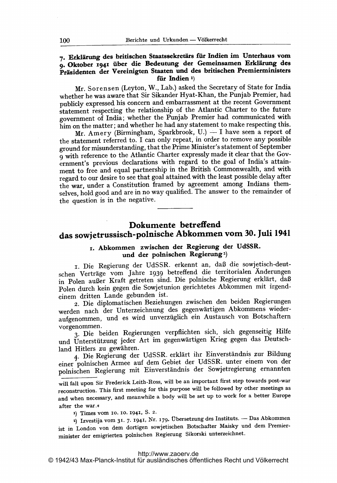### 7. Erklärung des britischen Staatssekretärs für Indien im Unterhaus vom 9. Oktober 1941 über die Bedeutung der Gemeinsamen Erklärung des Präsidenten der Vereinigten Staaten und des britischen Premierministers für Indien 1)

Mr. Sorensen (Leyton, W., Lab.) asked the Secretary of State for India whether he was aware that Sir Sikander Hyat-Khan, the Punjab Premier, had publicly expressed his concern and embarrassment at the recent Government statement respecting the relationship of the Atlantic Charter to the future government of India; whether the Punjab Premier had communicated with him on the matter; and whether he had any statement to make respecting this.

Mr. Amery (Birmingham, Sparkbrook, U.)  $-$  I have seen a report of the statement referred to. I can only repeat, in order to remove any possible ground for misunderstanding, that the Prime Minister's statement of September 9 with reference to the Atlantic Charter expressly made it clear that the Government's previous declarations with regard to the goal of India's attainment to free and equal partnership in the British Commonwealth, and with regard to our desire to see that goal attained with the least possible delay after the war, under a Constitution framed by agreement among Indians themselves, hold good and are in no way qualified. The answer to the remainder of the question is in the negative.

# Dokumente betreffend das sowjetrussisch-polnische Abkommen vom 30. Juli <sup>1941</sup>

## ir. Abkommen zwischen der Regierung der UdSSR. und der polnischen Regierung<sup>2</sup>)

i. Die Regierung der UdSSR. erkennt an, daß die sowjetisch-deutschen Verträge vom Jahre <sup>1939</sup> betreffend die ferritorialen Änderungen in Polen außer Kraft getreten sind. Die polnische Regierung erklärt, daß Polen durch kein gegen die Sowjetunion gerichtetes Abkommen mit irgendeinem dritten Lande gebunden ist.

2. Die diplomatischen Beziehungen zwischen den beiden Regierungen werden nach der Unterzeichnung des gegenwärtigen Abkommens wiederaufgenommen, und es wird unverzüglich ein Austausch von Botschaftern vorgenommen.

3. Die beiden Regierungen verpflichten sich, sich gegenseitig Hilfe und Unterstützung jeder Art im gegenwärtigen Krieg gegen das Deutschland Hitlers zu gewähren.

4. Die Regierung der UdSSR. erklärt ihr Einverständnis zur Bildung einer polnischen Armee auf dem Gebiet der UdSSR. unter einem von der polnischen Regierung mit Einverständnis der Sowjetregierung ernannten

will fall upon Sir Frederick Leith-Ross, will be an important first step towards post-war reconstruction. This first meeting for this purpose will be followed by other meetings as and when necessary, and meanwhile a body will be set up to work for <sup>a</sup> better Europe after the war.

x) Times vom 10- 10- 1941, S. 2.

<sup>2</sup>) Izvestija vom 31. 7. 1941, Nr. 179. Übersetzung des Instituts. - Das Abkommen ist in London von dem dortigen sowjetischen Botschafter Maisky und dem Premierminister der emigrierten polnischen Regierung Sikorski unterzeichnet.

#### <http://www.zaoerv.de>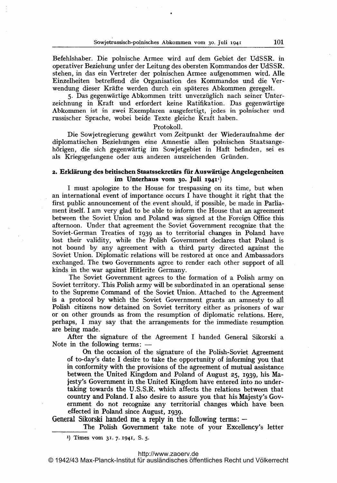Befehlshaber. Die polnische Armee wird auf dem Gebiet der UdSSR. in operativer Beziehung unier der Leitung des obersten Kommandos der UdSSR. stehen, in das ein Vertreter der polnischen Armee aufgenommen wird. Alle Einzelheiten betreffend die Organisation des Kommandos und die Verwendung dieser Kräfte werden durch ein späteres Abkommen geregelt.

5. Das gegenwärtige Abkommen tritt unverzüglich nach seiner Unterzeichnung in Kraft und erfordert keine Ratifikation. Das gegenwärtige Abkommen ist in zwei Exemplaren ausgefertigt, jedes in polnischer und russischer Sprache, wobei beide Texte gleiche Kraft haben.

#### Protokoll.

Die Sowjetregierung gewährt vom Zeitpunkt der Wiederaufnahme der diplomatischen Beziehungen eine Amnestie allen polnischen Staatsangehörigen, die sich gegenwärtig im Sowjetgebiet in Haft befinden, sei es als Kriegsgefangene oder aus anderen ausreichenden Gründen.

# 2. Erklärung des britischen Staatssekretärs für Auswärtige Angelegenheiten<br>im Unterhaus vom 30. Juli 1941<sup>(</sup>)

<sup>I</sup> must apologize to the House for trespassing on its time, but when an international event of importance occurs <sup>I</sup> have thought it right that the first public announcement of the event should, if possible, be made in Parliament itself. <sup>I</sup> am very glad to be able to inform the House that an agreement between the Soviet Union and Poland was signed at the Foreign Office this afternoon. Under that agreement the Soviet Government recognize that the Soviet-German Treaties of 1939 as to territorial changes in Poland have lost their validity, while the Polish Government declares that Poland is not bound by any agreement with a third party directed against the Soviet Union. Diplomatic relations will be restored at once and Ambassadors exchanged. The two Governments agree to render each other support of all kinds in the war against Hitlerite Germany. The Soviet Government agrees to the formation of <sup>a</sup> Polish army on

Soviet territory.. This Polish army will be subordinated in an operational sense to the Supreme Command of the Soviet Union. Attached to the Agreement is a protocol by which the Soviet Government grants an amnesty to all Polish citizens now detained on Soviet territory either as prisoners of war or on other grounds as from the resumption of diplomatic relations. Here, perhaps, <sup>I</sup> may say that the arrangements for the immediate resumption are being made.

After the signature of the Agreement <sup>I</sup> handed General Sikorski a Note in the following terms: -

On the occasion of the signature of the Polish-Soviet Agreement of to-day's date <sup>I</sup> desire to take the opportunity of informing you that in conformity with the provisions of the agreement of mutual assistance between the United Kingdom and Poland of August 25, 1939, his Majesty's Government in the United Kingdom have entered into no undertaking towards the U.S.S.R. which affects the relations between that country and Poland. <sup>I</sup> also desire to assure you, that his Majesty's Government do not recognize any territorial changes which have been effected in Poland since August, 1939-

General Sikorski handed me a reply in the following terms:  $-$ 

The Polish Government take note of your Excellency's letter

.1) Times vOm 31.7. 1941, S. 5.

© 1942/43 Max-Planck-Institut für ausländisches öffentliches Recht und Völkerrecht